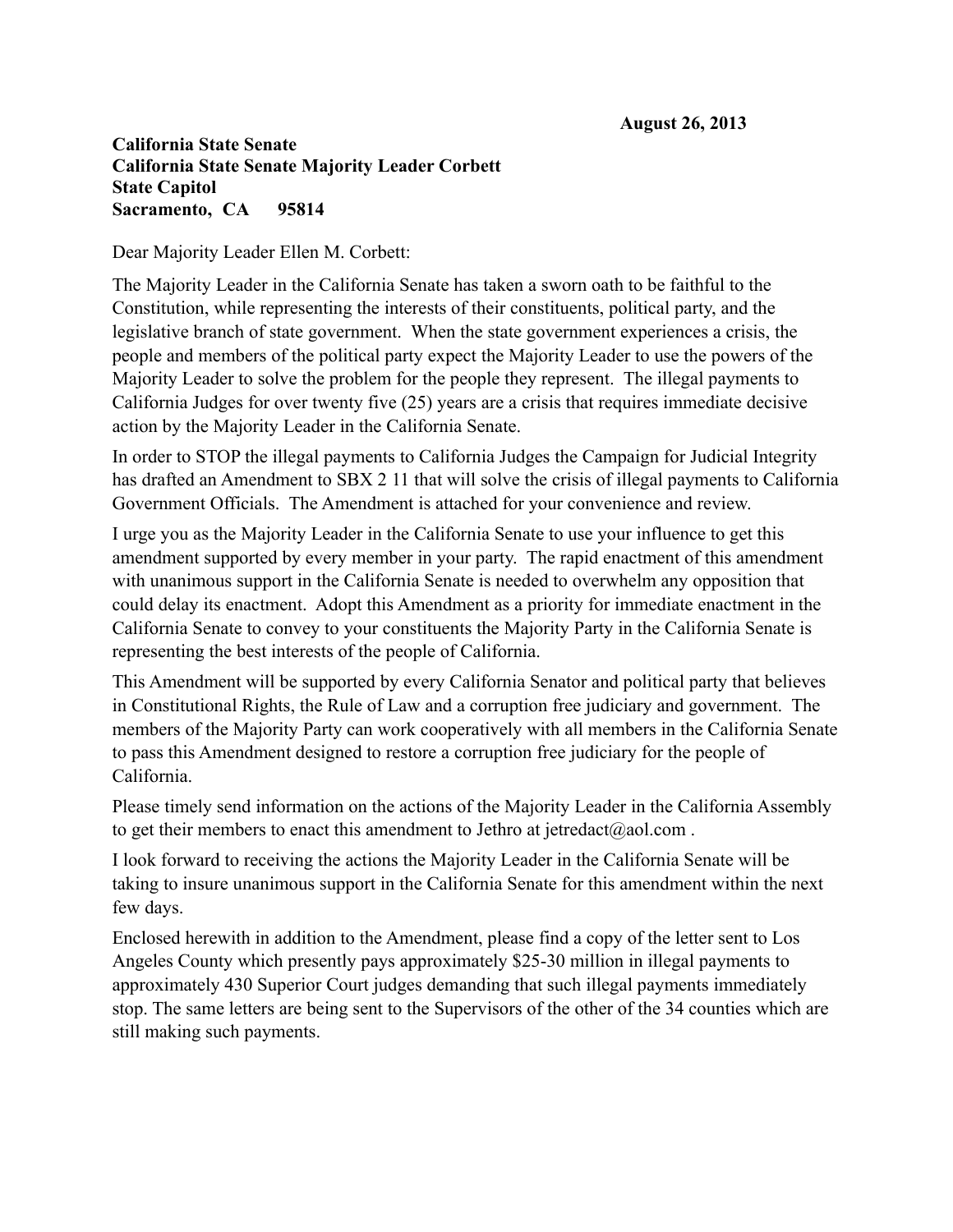## **California State Senate California State Senate Majority Leader Corbett State Capitol Sacramento, CA 95814**

Dear Majority Leader Ellen M. Corbett:

The Majority Leader in the California Senate has taken a sworn oath to be faithful to the Constitution, while representing the interests of their constituents, political party, and the legislative branch of state government. When the state government experiences a crisis, the people and members of the political party expect the Majority Leader to use the powers of the Majority Leader to solve the problem for the people they represent. The illegal payments to California Judges for over twenty five (25) years are a crisis that requires immediate decisive action by the Majority Leader in the California Senate.

In order to STOP the illegal payments to California Judges the Campaign for Judicial Integrity has drafted an Amendment to SBX 2 11 that will solve the crisis of illegal payments to California Government Officials. The Amendment is attached for your convenience and review.

I urge you as the Majority Leader in the California Senate to use your influence to get this amendment supported by every member in your party. The rapid enactment of this amendment with unanimous support in the California Senate is needed to overwhelm any opposition that could delay its enactment. Adopt this Amendment as a priority for immediate enactment in the California Senate to convey to your constituents the Majority Party in the California Senate is representing the best interests of the people of California.

This Amendment will be supported by every California Senator and political party that believes in Constitutional Rights, the Rule of Law and a corruption free judiciary and government. The members of the Majority Party can work cooperatively with all members in the California Senate to pass this Amendment designed to restore a corruption free judiciary for the people of California.

Please timely send information on the actions of the Majority Leader in the California Assembly to get their members to enact this amendment to Jethro at jetredact@aol.com.

I look forward to receiving the actions the Majority Leader in the California Senate will be taking to insure unanimous support in the California Senate for this amendment within the next few days.

Enclosed herewith in addition to the Amendment, please find a copy of the letter sent to Los Angeles County which presently pays approximately \$25-30 million in illegal payments to approximately 430 Superior Court judges demanding that such illegal payments immediately stop. The same letters are being sent to the Supervisors of the other of the 34 counties which are still making such payments.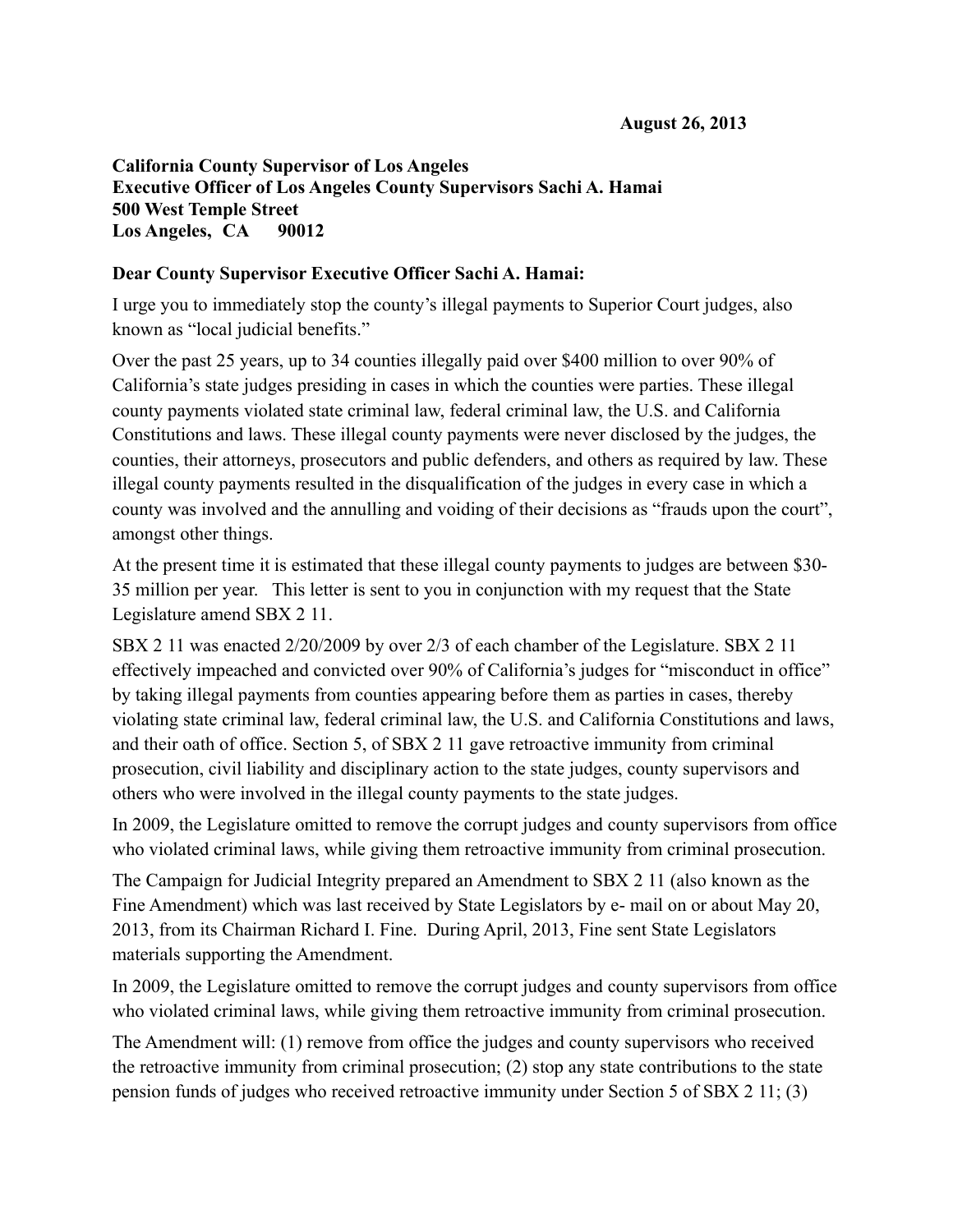## **California County Supervisor of Los Angeles Executive Officer of Los Angeles County Supervisors Sachi A. Hamai 500 West Temple Street Los Angeles, CA 90012**

## **Dear County Supervisor Executive Officer Sachi A. Hamai:**

I urge you to immediately stop the county's illegal payments to Superior Court judges, also known as "local judicial benefits."

Over the past 25 years, up to 34 counties illegally paid over \$400 million to over 90% of California's state judges presiding in cases in which the counties were parties. These illegal county payments violated state criminal law, federal criminal law, the U.S. and California Constitutions and laws. These illegal county payments were never disclosed by the judges, the counties, their attorneys, prosecutors and public defenders, and others as required by law. These illegal county payments resulted in the disqualification of the judges in every case in which a county was involved and the annulling and voiding of their decisions as "frauds upon the court", amongst other things.

At the present time it is estimated that these illegal county payments to judges are between \$30- 35 million per year. This letter is sent to you in conjunction with my request that the State Legislature amend SBX 2 11.

SBX 2 11 was enacted 2/20/2009 by over 2/3 of each chamber of the Legislature. SBX 2 11 effectively impeached and convicted over 90% of California's judges for "misconduct in office" by taking illegal payments from counties appearing before them as parties in cases, thereby violating state criminal law, federal criminal law, the U.S. and California Constitutions and laws, and their oath of office. Section 5, of SBX 2 11 gave retroactive immunity from criminal prosecution, civil liability and disciplinary action to the state judges, county supervisors and others who were involved in the illegal county payments to the state judges.

In 2009, the Legislature omitted to remove the corrupt judges and county supervisors from office who violated criminal laws, while giving them retroactive immunity from criminal prosecution.

The Campaign for Judicial Integrity prepared an Amendment to SBX 2 11 (also known as the Fine Amendment) which was last received by State Legislators by e- mail on or about May 20, 2013, from its Chairman Richard I. Fine. During April, 2013, Fine sent State Legislators materials supporting the Amendment.

In 2009, the Legislature omitted to remove the corrupt judges and county supervisors from office who violated criminal laws, while giving them retroactive immunity from criminal prosecution.

The Amendment will: (1) remove from office the judges and county supervisors who received the retroactive immunity from criminal prosecution; (2) stop any state contributions to the state pension funds of judges who received retroactive immunity under Section 5 of SBX 2 11; (3)